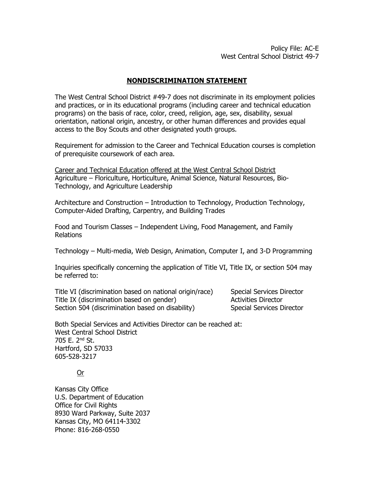## **NONDISCRIMINATION STATEMENT**

The West Central School District #49-7 does not discriminate in its employment policies and practices, or in its educational programs (including career and technical education programs) on the basis of race, color, creed, religion, age, sex, disability, sexual orientation, national origin, ancestry, or other human differences and provides equal access to the Boy Scouts and other designated youth groups.

Requirement for admission to the Career and Technical Education courses is completion of prerequisite coursework of each area.

Career and Technical Education offered at the West Central School District Agriculture – Floriculture, Horticulture, Animal Science, Natural Resources, Bio-Technology, and Agriculture Leadership

Architecture and Construction – Introduction to Technology, Production Technology, Computer-Aided Drafting, Carpentry, and Building Trades

Food and Tourism Classes – Independent Living, Food Management, and Family Relations

Technology – Multi-media, Web Design, Animation, Computer I, and 3-D Programming

Inquiries specifically concerning the application of Title VI, Title IX, or section 504 may be referred to:

Title VI (discrimination based on national origin/race) Special Services Director Title IX (discrimination based on gender) Activities Director Section 504 (discrimination based on disability) Special Services Director

Both Special Services and Activities Director can be reached at: West Central School District 705 E. 2nd St. Hartford, SD 57033 605-528-3217

Or

Kansas City Office U.S. Department of Education Office for Civil Rights 8930 Ward Parkway, Suite 2037 Kansas City, MO 64114-3302 Phone: 816-268-0550